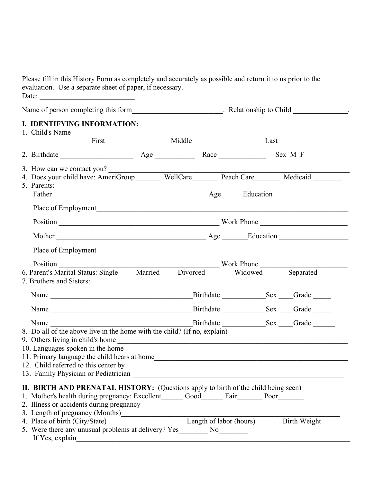Please fill in this History Form as completely and accurately as possible and return it to us prior to the evaluation. Use a separate sheet of paper, if necessary. Date: \_\_\_\_\_\_\_\_\_\_\_\_\_\_\_\_\_\_\_\_\_\_\_\_\_\_

|  | I. IDENTIFYING INFORMATION:                                                                                                 |  |        |  |      |  |  |
|--|-----------------------------------------------------------------------------------------------------------------------------|--|--------|--|------|--|--|
|  | 1. Child's Name<br>First                                                                                                    |  | Middle |  | Last |  |  |
|  | 2. Birthdate Sex M F                                                                                                        |  |        |  |      |  |  |
|  | 3. How can we contact you?                                                                                                  |  |        |  |      |  |  |
|  | 4. Does your child have: AmeriGroup WellCare Peach Care Medicaid                                                            |  |        |  |      |  |  |
|  | 5. Parents:                                                                                                                 |  |        |  |      |  |  |
|  |                                                                                                                             |  |        |  |      |  |  |
|  |                                                                                                                             |  |        |  |      |  |  |
|  |                                                                                                                             |  |        |  |      |  |  |
|  |                                                                                                                             |  |        |  |      |  |  |
|  |                                                                                                                             |  |        |  |      |  |  |
|  | Position<br>6. Parent's Marital Status: Single Married Divorced Work Phone<br>Widowed Separated<br>7. Brothers and Sisters: |  |        |  |      |  |  |
|  |                                                                                                                             |  |        |  |      |  |  |
|  |                                                                                                                             |  |        |  |      |  |  |
|  |                                                                                                                             |  |        |  |      |  |  |
|  |                                                                                                                             |  |        |  |      |  |  |
|  |                                                                                                                             |  |        |  |      |  |  |
|  |                                                                                                                             |  |        |  |      |  |  |
|  |                                                                                                                             |  |        |  |      |  |  |
|  | 13. Family Physician or Pediatrician                                                                                        |  |        |  |      |  |  |
|  | <b>II. BIRTH AND PRENATAL HISTORY:</b> (Questions apply to birth of the child being seen)                                   |  |        |  |      |  |  |
|  | 1. Mother's health during pregnancy: Excellent_______ Good_______ Fair________ Poor_______                                  |  |        |  |      |  |  |
|  |                                                                                                                             |  |        |  |      |  |  |
|  |                                                                                                                             |  |        |  |      |  |  |
|  |                                                                                                                             |  |        |  |      |  |  |
|  | If Yes explain                                                                                                              |  |        |  |      |  |  |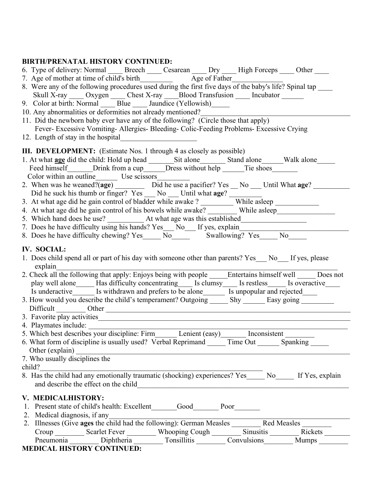## **BIRTH/PRENATAL HISTORY CONTINUED:**

|  | 6. Type of delivery: Normal Breech |  | Cesarean | $\Gamma$ | High Forceps | Other |
|--|------------------------------------|--|----------|----------|--------------|-------|
|--|------------------------------------|--|----------|----------|--------------|-------|

- 7. Age of mother at time of child's birth\_\_\_\_\_\_\_\_\_\_\_\_\_ Age of Father\_\_\_\_\_\_
- 8. Were any of the following procedures used during the first five days of the baby's life? Spinal tap \_\_\_\_\_\_\_ Skull X-ray \_\_\_\_\_ Oxygen \_\_\_\_\_ Chest X-ray \_\_\_\_\_ Blood Transfusion \_\_\_\_\_\_ Incubator \_\_\_\_\_\_
- 9. Color at birth: Normal Blue Jaundice (Yellowish)
- 10. Any abnormalities or deformities not already mentioned?
- 11. Did the newborn baby ever have any of the following? (Circle those that apply) Fever- Excessive Vomiting- Allergies- Bleeding- Colic-Feeding Problems- Excessive Crying
- 12. Length of stay in the hospital

**III. DEVELOPMENT:** (Estimate Nos. 1 through 4 as closely as possible)

- 1. At what **age** did the child: Hold up head \_\_\_\_\_\_\_Sit alone\_\_\_\_\_\_\_ Stand alone\_\_\_\_\_\_Walk alone\_\_\_\_\_ Feed himself\_\_\_\_\_\_\_Drink from a cup\_\_\_\_\_\_Dress without help \_\_\_\_\_\_\_Tie shoes\_\_\_\_\_\_\_\_\_\_ Color within an outline\_\_\_\_\_\_ Use scissors\_\_\_\_\_\_\_\_\_
- 2. When was he weaned?(age) \_\_\_\_\_\_\_\_\_ Did he use a pacifier? Yes \_\_ No \_\_\_ Until What age? \_\_\_\_\_\_\_\_\_ Did he suck his thumb or  $f{\overline{r}}$   $\overline{r}$   $\overline{r}$   $\overline{r}$   $\overline{r}$   $\overline{r}$   $\overline{r}$   $\overline{r}$   $\overline{r}$   $\overline{r}$   $\overline{r}$   $\overline{r}$   $\overline{r}$   $\overline{r}$   $\overline{r}$   $\overline{r}$   $\overline{r}$   $\overline{r}$   $\overline{r}$   $\overline{r}$   $\overline{r}$   $\overline{r$
- 3. At what age did he gain control of bladder while awake ? While asleep
- 4. At what age did he gain control of his bowels while awake? While asleep
- 5. Which hand does he use? \_\_\_\_\_\_\_\_\_\_ At what age was this established\_\_\_\_\_\_\_\_\_\_\_\_\_\_\_\_\_\_
- 7. Does he have difficulty using his hands? Yes\_\_\_ No\_\_\_ If yes, explain\_\_\_\_\_\_\_\_\_\_\_\_\_\_\_\_\_\_\_\_\_\_\_\_\_\_\_\_\_\_
- 8. Does he have difficulty chewing? Yes  $\overline{N_0}$   $\overline{N_0}$  Swallowing? Yes  $\overline{N_0}$

## **IV. SOCIAL:**

- 1. Does child spend all or part of his day with someone other than parents? Yes No If yes, please explain 2. Check all the following that apply: Enjoys being with people Entertains himself well Does not
- play well alone Has difficulty concentrating Is clumsy Is restless Is overactive Is underactive  $\frac{1}{\sqrt{1-\frac{1}{n}}}$  Is withdrawn and prefers to be alone  $\frac{1}{\sqrt{1-\frac{1}{n}}}$  Is unpopular and rejected  $\frac{1}{\sqrt{1-\frac{1}{n}}}$
- 3. How would you describe the child's temperament? Outgoing  $\frac{1}{\sqrt{2\pi}}$  Shy  $\frac{1}{\sqrt{2\pi}}$  Easy going  $\frac{1}{\sqrt{2\pi}}$ Difficult \_\_\_\_\_\_\_\_ Other \_\_\_\_\_\_\_\_\_\_\_\_\_\_\_\_\_\_\_\_\_\_\_\_\_\_\_\_\_\_\_\_\_\_\_\_\_\_\_\_\_\_\_\_\_\_\_\_\_\_\_\_\_\_\_\_\_\_\_\_\_\_\_\_\_\_\_
- 
- 3. Favorite play activities
- 4. Playmates include: 5. Which best describes your discipline: Firm Lenient (easy) Inconsistent 6. What form of discipline is usually used? Verbal Reprimand  $\frac{1}{\sqrt{1-\lambda}}$  Time Out  $\frac{1}{\lambda}$  Spanking  $\frac{1}{\lambda}$
- Other (explain)
- 7. Who usually disciplines the
- child?
- 8. Has the child had any emotionally traumatic (shocking) experiences? Yes<sup>to</sup> No. If Yes, explain and describe the effect on the child\_\_\_\_\_\_\_\_\_\_\_\_\_\_\_\_\_\_\_\_\_\_\_\_\_\_\_\_\_\_\_\_\_\_\_\_\_\_\_\_\_\_\_\_\_\_\_\_\_\_\_\_\_\_\_\_\_\_

## **V. MEDICALHISTORY:**

- 1. Present state of child's health: Excellent Good Poor
- 2. Medical diagnosis, if any
- 2. Illnesses (Give **ages** the child had the following): German Measles \_\_\_\_\_\_\_\_ Red Measles \_\_\_\_\_\_\_\_ Croup Scarlet Fever Whooping Cough Sinusitis Rickets Pneumonia Diphtheria Tonsillitis Convulsions Mumps Diphtheria

## **MEDICAL HISTORY CONTINUED:**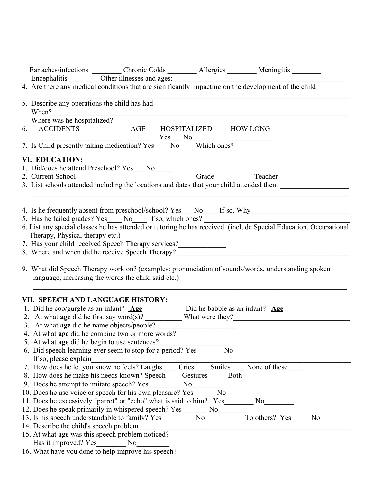| Ear aches/infections _________ Chronic Colds ________ Allergies ________ Meningitis _______                                                                            |
|------------------------------------------------------------------------------------------------------------------------------------------------------------------------|
| Encephalitis Other illnesses and ages: <u>Community</u> impacting on the development of the child                                                                      |
|                                                                                                                                                                        |
|                                                                                                                                                                        |
| When?                                                                                                                                                                  |
|                                                                                                                                                                        |
| Where was he hospitalized?<br>6. ACCIDENTS AGE HOSPITALIZED HOW LONG                                                                                                   |
|                                                                                                                                                                        |
| 7. Is Child presently taking medication? Yes No Which ones?                                                                                                            |
| VI. EDUCATION:                                                                                                                                                         |
| 1. Did/does he attend Preschool? Yes___ No_____                                                                                                                        |
| 2. Current School                                                                                                                                                      |
| 3. List schools attended including the locations and dates that your child attended them                                                                               |
|                                                                                                                                                                        |
|                                                                                                                                                                        |
|                                                                                                                                                                        |
| 5. Has he failed grades? Yes No If so, which ones?<br>6. List any special classes he has attended or tutoring he has received (include Special Education, Occupational |
|                                                                                                                                                                        |
| Therapy, Physical therapy etc.)                                                                                                                                        |
| 7. Has your child received Speech Therapy services?                                                                                                                    |
|                                                                                                                                                                        |
|                                                                                                                                                                        |
| 9. What did Speech Therapy work on? (examples: pronunciation of sounds/words, understanding spoken                                                                     |
| language, increasing the words the child said etc.)<br><u>Language</u> , increasing the words the child said etc.)                                                     |
|                                                                                                                                                                        |
| VII. SPEECH AND LANGUAGE HISTORY:                                                                                                                                      |
| 1. Did he coo/gurgle as an infant? $\underline{Age}$ Did he babble as an infant? $\underline{Age}$                                                                     |
| 2. At what age did he first say $\underline{word(s)}$ ? What were they?                                                                                                |
|                                                                                                                                                                        |
| 4. At what age did he combine two or more words?                                                                                                                       |
|                                                                                                                                                                        |
| 5. At what age did he begin to use sentences?                                                                                                                          |
| N <sub>o</sub><br>6. Did speech learning ever seem to stop for a period? Yes<br>If so, please explain                                                                  |
| Cries<br>7. How does he let you know he feels? Laughs<br>Smiles<br>None of these                                                                                       |
| 8. How does he make his needs known? Speech<br>Gestures<br><b>Both</b>                                                                                                 |
| N <sub>0</sub>                                                                                                                                                         |
| 9. Does he attempt to imitate speech? Yes                                                                                                                              |
| 10. Does he use voice or speech for his own pleasure? Yes<br>N <sub>o</sub>                                                                                            |
| 11. Does he excessively "parrot" or "echo" what is said to him? Yes<br>N <sub>0</sub>                                                                                  |
| 12. Does he speak primarily in whispered speech? Yes<br>N <sub>0</sub>                                                                                                 |
| To others? Yes<br>13. Is his speech understandable to family? Yes<br>N <sub>0</sub><br>N <sub>o</sub>                                                                  |
| 14. Describe the child's speech problem                                                                                                                                |
| 15. At what <b>age</b> was this speech problem noticed?                                                                                                                |
| Has it improved? Yes<br>No                                                                                                                                             |
| 16. What have you done to help improve his speech?                                                                                                                     |